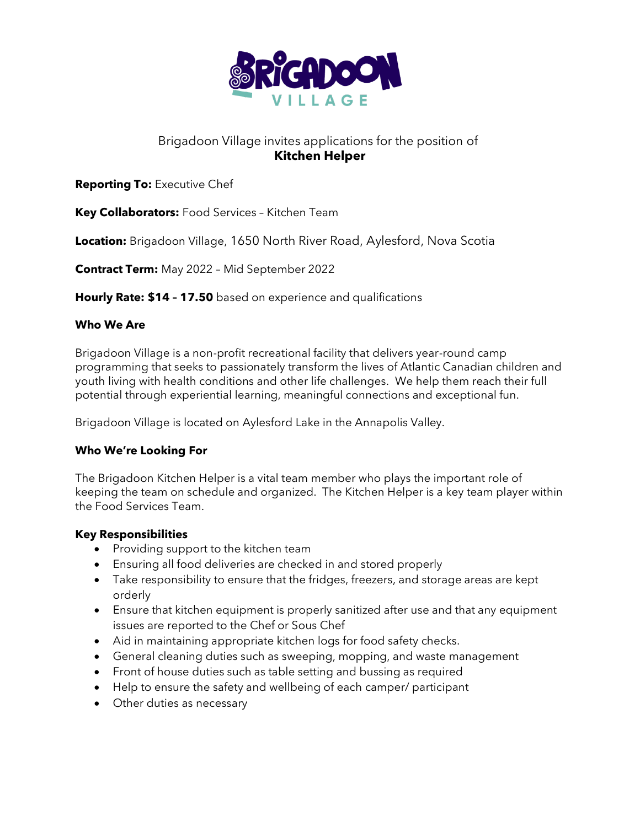

# Brigadoon Village invites applications for the position of **Kitchen Helper**

## **Reporting To:** Executive Chef

**Key Collaborators:** Food Services – Kitchen Team

**Location:** Brigadoon Village, 1650 North River Road, Aylesford, Nova Scotia

**Contract Term:** May 2022 – Mid September 2022

**Hourly Rate: \$14 – 17.50** based on experience and qualifications

#### **Who We Are**

Brigadoon Village is a non-profit recreational facility that delivers year-round camp programming that seeks to passionately transform the lives of Atlantic Canadian children and youth living with health conditions and other life challenges. We help them reach their full potential through experiential learning, meaningful connections and exceptional fun.

Brigadoon Village is located on Aylesford Lake in the Annapolis Valley.

## **Who We're Looking For**

The Brigadoon Kitchen Helper is a vital team member who plays the important role of keeping the team on schedule and organized. The Kitchen Helper is a key team player within the Food Services Team.

#### **Key Responsibilities**

- Providing support to the kitchen team
- Ensuring all food deliveries are checked in and stored properly
- Take responsibility to ensure that the fridges, freezers, and storage areas are kept orderly
- Ensure that kitchen equipment is properly sanitized after use and that any equipment issues are reported to the Chef or Sous Chef
- Aid in maintaining appropriate kitchen logs for food safety checks.
- General cleaning duties such as sweeping, mopping, and waste management
- Front of house duties such as table setting and bussing as required
- Help to ensure the safety and wellbeing of each camper/ participant
- Other duties as necessary